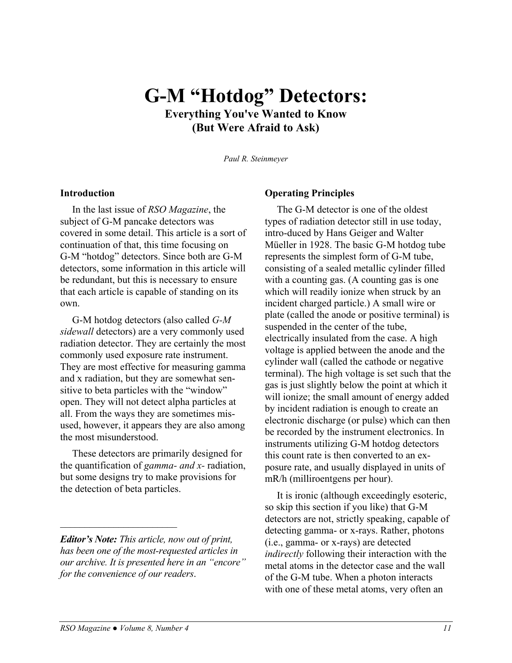## **G-M "Hotdog" Detectors: Everything You've Wanted to Know (But Were Afraid to Ask)**

*Paul R. Steinmeyer*

#### **Introduction**

In the last issue of *RSO Magazine*, the subject of G-M pancake detectors was covered in some detail. This article is a sort of continuation of that, this time focusing on G-M "hotdog" detectors. Since both are G-M detectors, some information in this article will be redundant, but this is necessary to ensure that each article is capable of standing on its own.

G-M hotdog detectors (also called *G-M sidewall* detectors) are a very commonly used radiation detector. They are certainly the most commonly used exposure rate instrument. They are most effective for measuring gamma and x radiation, but they are somewhat sensitive to beta particles with the "window" open. They will not detect alpha particles at all. From the ways they are sometimes misused, however, it appears they are also among the most misunderstood.

These detectors are primarily designed for the quantification of *gamma- and x-* radiation, but some designs try to make provisions for the detection of beta particles.

#### **Operating Principles**

The G-M detector is one of the oldest types of radiation detector still in use today, intro-duced by Hans Geiger and Walter Müeller in 1928. The basic G-M hotdog tube represents the simplest form of G-M tube, consisting of a sealed metallic cylinder filled with a counting gas. (A counting gas is one which will readily ionize when struck by an incident charged particle.) A small wire or plate (called the anode or positive terminal) is suspended in the center of the tube, electrically insulated from the case. A high voltage is applied between the anode and the cylinder wall (called the cathode or negative terminal). The high voltage is set such that the gas is just slightly below the point at which it will ionize; the small amount of energy added by incident radiation is enough to create an electronic discharge (or pulse) which can then be recorded by the instrument electronics. In instruments utilizing G-M hotdog detectors this count rate is then converted to an exposure rate, and usually displayed in units of mR/h (milliroentgens per hour).

It is ironic (although exceedingly esoteric, so skip this section if you like) that G-M detectors are not, strictly speaking, capable of detecting gamma- or x-rays. Rather, photons (i.e., gamma- or x-rays) are detected *indirectly* following their interaction with the metal atoms in the detector case and the wall of the G-M tube. When a photon interacts with one of these metal atoms, very often an

 $\mathcal{L}_\text{max}$  , where  $\mathcal{L}_\text{max}$  and  $\mathcal{L}_\text{max}$ 

*Editor's Note: This article, now out of print, has been one of the most-requested articles in our archive. It is presented here in an "encore" for the convenience of our readers*.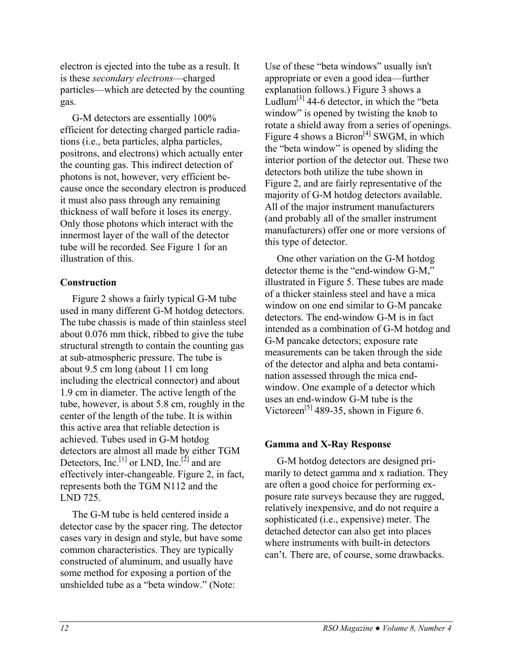electron is ejected into the tube as a result. It is these *secondary electrons*—charged particles—which are detected by the counting gas.

G-M detectors are essentially 100% efficient for detecting charged particle radiations (i.e., beta particles, alpha particles, positrons, and electrons) which actually enter the counting gas. This indirect detection of photons is not, however, very efficient because once the secondary electron is produced it must also pass through any remaining thickness of wall before it loses its energy. Only those photons which interact with the innermost layer of the wall of the detector tube will be recorded. See Figure 1 for an illustration of this.

#### **Construction**

Figure 2 shows a fairly typical G-M tube used in many different G-M hotdog detectors. The tube chassis is made of thin stainless steel about 0.076 mm thick, ribbed to give the tube structural strength to contain the counting gas at sub-atmospheric pressure. The tube is about 9.5 cm long (about 11 cm long including the electrical connector) and about 1.9 cm in diameter. The active length of the tube, however, is about 5.8 cm, roughly in the center of the length of the tube. It is within this active area that reliable detection is achieved. Tubes used in G-M hotdog detectors are almost all made by either TGM Detectors, Inc.<sup>[1]</sup> or LND, Inc.<sup>[2]</sup> and are effectively inter-changeable. Figure 2, in fact, represents both the TGM N112 and the LND 725.

The G-M tube is held centered inside a detector case by the spacer ring. The detector cases vary in design and style, but have some common characteristics. They are typically constructed of aluminum, and usually have some method for exposing a portion of the unshielded tube as a "beta window." (Note:

Use of these "beta windows" usually isn't appropriate or even a good idea—further explanation follows.) Figure 3 shows a Ludlum<sup>[3]</sup> 44-6 detector, in which the "beta" window" is opened by twisting the knob to rotate a shield away from a series of openings. Figure 4 shows a Bicron<sup>[4]</sup> SWGM, in which the "beta window" is opened by sliding the interior portion of the detector out. These two detectors both utilize the tube shown in Figure 2, and are fairly representative of the majority of G-M hotdog detectors available. All of the major instrument manufacturers (and probably all of the smaller instrument manufacturers) offer one or more versions of this type of detector.

One other variation on the G-M hotdog detector theme is the "end-window G-M," illustrated in Figure 5. These tubes are made of a thicker stainless steel and have a mica window on one end similar to G-M pancake detectors. The end-window G-M is in fact intended as a combination of G-M hotdog and G-M pancake detectors; exposure rate measurements can be taken through the side of the detector and alpha and beta contamination assessed through the mica endwindow. One example of a detector which uses an end-window G-M tube is the Victoreen<sup>[5]</sup> 489-35, shown in Figure 6.

#### **Gamma and X-Ray Response**

G-M hotdog detectors are designed primarily to detect gamma and x radiation. They are often a good choice for performing exposure rate surveys because they are rugged, relatively inexpensive, and do not require a sophisticated (i.e., expensive) meter. The detached detector can also get into places where instruments with built-in detectors can't. There are, of course, some drawbacks.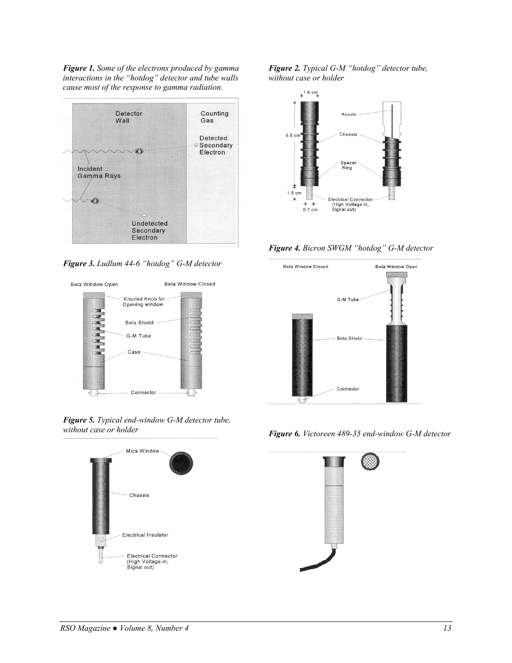*Figure 1. Some of the electrons produced by gamma interactions in the "hotdog" detector and tube walls cause most of the response to gamma radiation.* 



*Figure 3. Ludlum 44-6 "hotdog" G-M detector* 



*Figure 5. Typical end-window G-M detector tube, without case or holder* 



*Figure 2. Typical G-M "hotdog" detector tube, without case or holder* 



*Figure 4. Bicron SWGM "hotdog" G-M detector* 



*Figure 6. Victoreen 489-35 end-window G-M detector* 

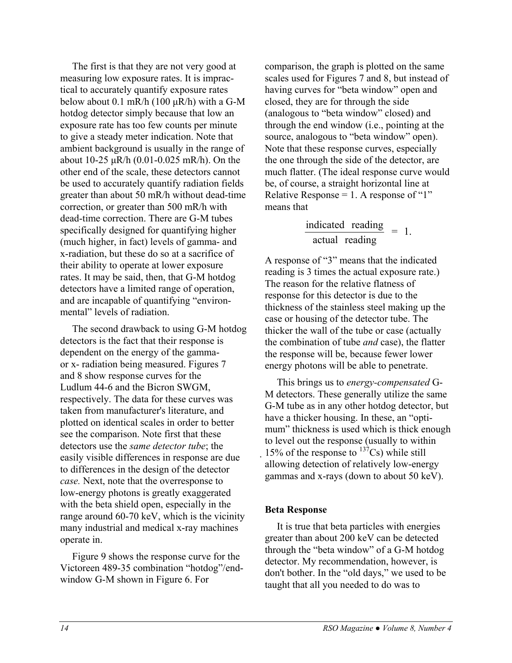The first is that they are not very good at measuring low exposure rates. It is impractical to accurately quantify exposure rates below about 0.1 mR/h (100  $\mu$ R/h) with a G-M hotdog detector simply because that low an exposure rate has too few counts per minute to give a steady meter indication. Note that ambient background is usually in the range of about 10-25 µR/h (0.01-0.025 mR/h). On the other end of the scale, these detectors cannot be used to accurately quantify radiation fields greater than about 50 mR/h without dead-time correction, or greater than 500 mR/h with dead-time correction. There are G-M tubes specifically designed for quantifying higher (much higher, in fact) levels of gamma- and x-radiation, but these do so at a sacrifice of their ability to operate at lower exposure rates. It may be said, then, that G-M hotdog detectors have a limited range of operation, and are incapable of quantifying "environmental" levels of radiation.

The second drawback to using G-M hotdog detectors is the fact that their response is dependent on the energy of the gammaor x- radiation being measured. Figures 7 and 8 show response curves for the Ludlum 44-6 and the Bicron SWGM, respectively. The data for these curves was taken from manufacturer's literature, and plotted on identical scales in order to better see the comparison. Note first that these detectors use the *same detector tube*; the easily visible differences in response are due to differences in the design of the detector *case.* Next, note that the overresponse to low-energy photons is greatly exaggerated with the beta shield open, especially in the range around 60-70 keV, which is the vicinity many industrial and medical x-ray machines operate in.

Figure 9 shows the response curve for the Victoreen 489-35 combination "hotdog"/endwindow G-M shown in Figure 6. For

comparison, the graph is plotted on the same scales used for Figures 7 and 8, but instead of having curves for "beta window" open and closed, they are for through the side (analogous to "beta window" closed) and through the end window (i.e., pointing at the source, analogous to "beta window" open). Note that these response curves, especially the one through the side of the detector, are much flatter. (The ideal response curve would be, of course, a straight horizontal line at Relative Response  $= 1$ . A response of "1" means that

$$
\frac{\text{indicated reading}}{\text{actual reading}} = 1.
$$

A response of "3" means that the indicated reading is 3 times the actual exposure rate.) The reason for the relative flatness of response for this detector is due to the thickness of the stainless steel making up the case or housing of the detector tube. The thicker the wall of the tube or case (actually the combination of tube *and* case), the flatter the response will be, because fewer lower energy photons will be able to penetrate.

This brings us to *energy-compensated* G-M detectors. These generally utilize the same G-M tube as in any other hotdog detector, but have a thicker housing. In these, an "optimum" thickness is used which is thick enough to level out the response (usually to within 15% of the response to  $13^{7}Cs$ ) while still allowing detection of relatively low-energy gammas and x-rays (down to about 50 keV).

#### **Beta Response**

It is true that beta particles with energies greater than about 200 keV can be detected through the "beta window" of a G-M hotdog detector. My recommendation, however, is don't bother. In the "old days," we used to be taught that all you needed to do was to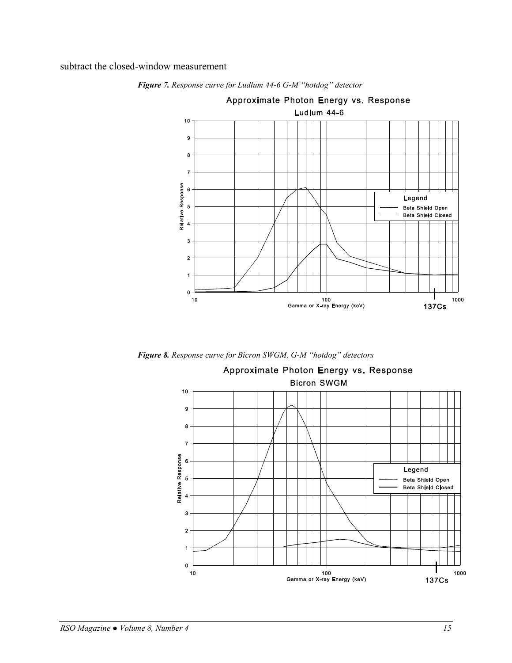subtract the closed-window measurement



*Figure 7. Response curve for Ludlum 44-6 G-M "hotdog" detector* 

*Figure 8. Response curve for Bicron SWGM, G-M "hotdog" detectors* 

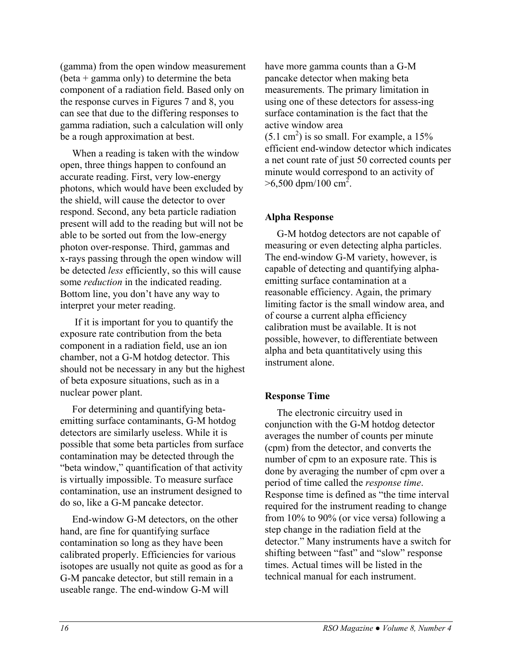(gamma) from the open window measurement  $(beta + gamma only)$  to determine the beta component of a radiation field. Based only on the response curves in Figures 7 and 8, you can see that due to the differing responses to gamma radiation, such a calculation will only be a rough approximation at best.

When a reading is taken with the window open, three things happen to confound an accurate reading. First, very low-energy photons, which would have been excluded by the shield, will cause the detector to over respond. Second, any beta particle radiation present will add to the reading but will not be able to be sorted out from the low-energy photon over-response. Third, gammas and x-rays passing through the open window will be detected *less* efficiently, so this will cause some *reduction* in the indicated reading. Bottom line, you don't have any way to interpret your meter reading.

 If it is important for you to quantify the exposure rate contribution from the beta component in a radiation field, use an ion chamber, not a G-M hotdog detector. This should not be necessary in any but the highest of beta exposure situations, such as in a nuclear power plant.

For determining and quantifying betaemitting surface contaminants, G-M hotdog detectors are similarly useless. While it is possible that some beta particles from surface contamination may be detected through the "beta window," quantification of that activity is virtually impossible. To measure surface contamination, use an instrument designed to do so, like a G-M pancake detector.

End-window G-M detectors, on the other hand, are fine for quantifying surface contamination so long as they have been calibrated properly. Efficiencies for various isotopes are usually not quite as good as for a G-M pancake detector, but still remain in a useable range. The end-window G-M will

have more gamma counts than a G-M pancake detector when making beta measurements. The primary limitation in using one of these detectors for assess-ing surface contamination is the fact that the active window area

 $(5.1 \text{ cm}^2)$  is so small. For example, a 15% efficient end-window detector which indicates a net count rate of just 50 corrected counts per minute would correspond to an activity of  $>6,500$  dpm/100 cm<sup>2</sup>.

#### **Alpha Response**

G-M hotdog detectors are not capable of measuring or even detecting alpha particles. The end-window G-M variety, however, is capable of detecting and quantifying alphaemitting surface contamination at a reasonable efficiency. Again, the primary limiting factor is the small window area, and of course a current alpha efficiency calibration must be available. It is not possible, however, to differentiate between alpha and beta quantitatively using this instrument alone.

#### **Response Time**

The electronic circuitry used in conjunction with the G-M hotdog detector averages the number of counts per minute (cpm) from the detector, and converts the number of cpm to an exposure rate. This is done by averaging the number of cpm over a period of time called the *response time*. Response time is defined as "the time interval required for the instrument reading to change from 10% to 90% (or vice versa) following a step change in the radiation field at the detector." Many instruments have a switch for shifting between "fast" and "slow" response times. Actual times will be listed in the technical manual for each instrument.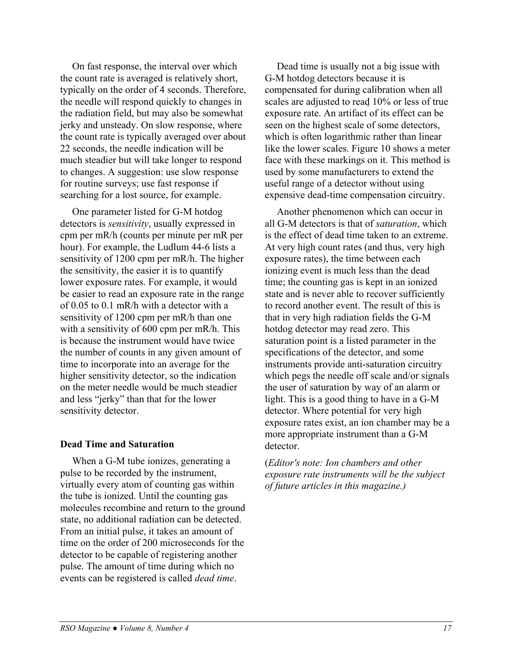On fast response, the interval over which the count rate is averaged is relatively short, typically on the order of 4 seconds. Therefore, the needle will respond quickly to changes in the radiation field, but may also be somewhat jerky and unsteady. On slow response, where the count rate is typically averaged over about 22 seconds, the needle indication will be much steadier but will take longer to respond to changes. A suggestion: use slow response for routine surveys; use fast response if searching for a lost source, for example.

One parameter listed for G-M hotdog detectors is *sensitivity*, usually expressed in cpm per mR/h (counts per minute per mR per hour). For example, the Ludlum 44-6 lists a sensitivity of 1200 cpm per mR/h. The higher the sensitivity, the easier it is to quantify lower exposure rates. For example, it would be easier to read an exposure rate in the range of 0.05 to 0.1 mR/h with a detector with a sensitivity of 1200 cpm per mR/h than one with a sensitivity of 600 cpm per mR/h. This is because the instrument would have twice the number of counts in any given amount of time to incorporate into an average for the higher sensitivity detector, so the indication on the meter needle would be much steadier and less "jerky" than that for the lower sensitivity detector.

#### **Dead Time and Saturation**

When a G-M tube ionizes, generating a pulse to be recorded by the instrument, virtually every atom of counting gas within the tube is ionized. Until the counting gas molecules recombine and return to the ground state, no additional radiation can be detected. From an initial pulse, it takes an amount of time on the order of 200 microseconds for the detector to be capable of registering another pulse. The amount of time during which no events can be registered is called *dead time*.

Dead time is usually not a big issue with G-M hotdog detectors because it is compensated for during calibration when all scales are adjusted to read 10% or less of true exposure rate. An artifact of its effect can be seen on the highest scale of some detectors, which is often logarithmic rather than linear like the lower scales. Figure 10 shows a meter face with these markings on it. This method is used by some manufacturers to extend the useful range of a detector without using expensive dead-time compensation circuitry.

Another phenomenon which can occur in all G-M detectors is that of *saturation*, which is the effect of dead time taken to an extreme. At very high count rates (and thus, very high exposure rates), the time between each ionizing event is much less than the dead time; the counting gas is kept in an ionized state and is never able to recover sufficiently to record another event. The result of this is that in very high radiation fields the G-M hotdog detector may read zero. This saturation point is a listed parameter in the specifications of the detector, and some instruments provide anti-saturation circuitry which pegs the needle off scale and/or signals the user of saturation by way of an alarm or light. This is a good thing to have in a G-M detector. Where potential for very high exposure rates exist, an ion chamber may be a more appropriate instrument than a G-M detector.

(*Editor's note: Ion chambers and other exposure rate instruments will be the subject of future articles in this magazine.)*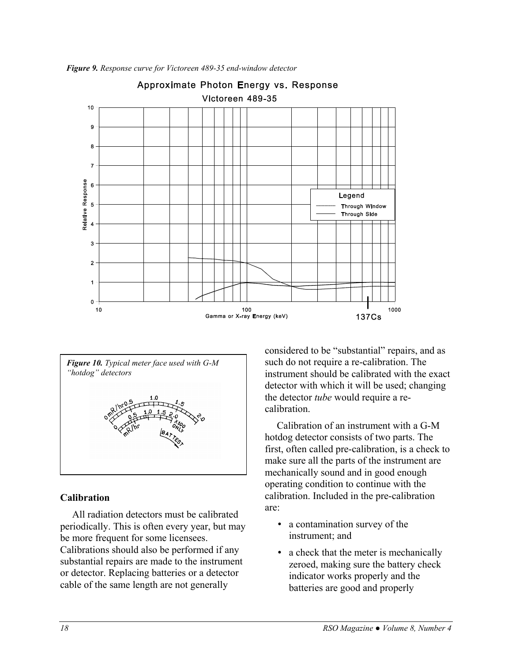

*Figure 9. Response curve for Victoreen 489-35 end-window detector*



#### **Calibration**

All radiation detectors must be calibrated periodically. This is often every year, but may be more frequent for some licensees. Calibrations should also be performed if any substantial repairs are made to the instrument or detector. Replacing batteries or a detector cable of the same length are not generally

considered to be "substantial" repairs, and as such do not require a re-calibration. The instrument should be calibrated with the exact detector with which it will be used; changing the detector *tube* would require a recalibration.

Calibration of an instrument with a G-M hotdog detector consists of two parts. The first, often called pre-calibration, is a check to make sure all the parts of the instrument are mechanically sound and in good enough operating condition to continue with the calibration. Included in the pre-calibration are:

- a contamination survey of the instrument; and
- a check that the meter is mechanically zeroed, making sure the battery check indicator works properly and the batteries are good and properly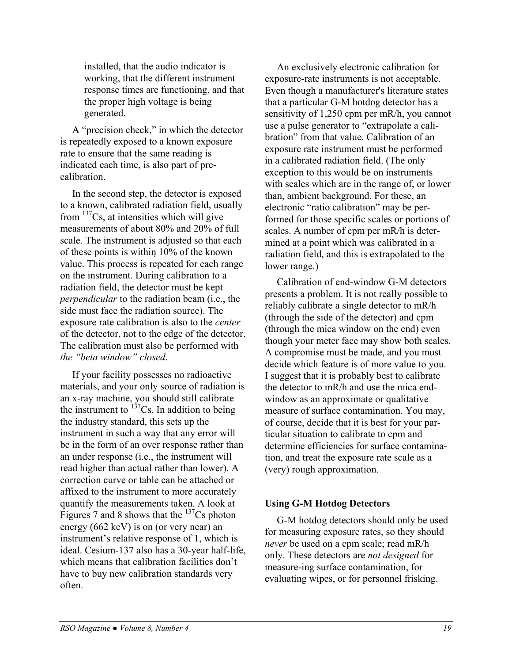installed, that the audio indicator is working, that the different instrument response times are functioning, and that the proper high voltage is being generated.

A "precision check," in which the detector is repeatedly exposed to a known exposure rate to ensure that the same reading is indicated each time, is also part of precalibration.

In the second step, the detector is exposed to a known, calibrated radiation field, usually from  $137Cs$ , at intensities which will give measurements of about 80% and 20% of full scale. The instrument is adjusted so that each of these points is within 10% of the known value. This process is repeated for each range on the instrument. During calibration to a radiation field, the detector must be kept *perpendicular* to the radiation beam (i.e., the side must face the radiation source). The exposure rate calibration is also to the *center* of the detector, not to the edge of the detector. The calibration must also be performed with *the "beta window" closed*.

If your facility possesses no radioactive materials, and your only source of radiation is an x-ray machine, you should still calibrate the instrument to  $137$ Cs. In addition to being the industry standard, this sets up the instrument in such a way that any error will be in the form of an over response rather than an under response (i.e., the instrument will read higher than actual rather than lower). A correction curve or table can be attached or affixed to the instrument to more accurately quantify the measurements taken. A look at Figures 7 and 8 shows that the  $137Cs$  photon energy (662 keV) is on (or very near) an instrument's relative response of 1, which is ideal. Cesium-137 also has a 30-year half-life, which means that calibration facilities don't have to buy new calibration standards very often.

An exclusively electronic calibration for exposure-rate instruments is not acceptable. Even though a manufacturer's literature states that a particular G-M hotdog detector has a sensitivity of 1,250 cpm per mR/h, you cannot use a pulse generator to "extrapolate a calibration" from that value. Calibration of an exposure rate instrument must be performed in a calibrated radiation field. (The only exception to this would be on instruments with scales which are in the range of, or lower than, ambient background. For these, an electronic "ratio calibration" may be performed for those specific scales or portions of scales. A number of cpm per mR/h is determined at a point which was calibrated in a radiation field, and this is extrapolated to the lower range.)

Calibration of end-window G-M detectors presents a problem. It is not really possible to reliably calibrate a single detector to mR/h (through the side of the detector) and cpm (through the mica window on the end) even though your meter face may show both scales. A compromise must be made, and you must decide which feature is of more value to you. I suggest that it is probably best to calibrate the detector to mR/h and use the mica endwindow as an approximate or qualitative measure of surface contamination. You may, of course, decide that it is best for your particular situation to calibrate to cpm and determine efficiencies for surface contamination, and treat the exposure rate scale as a (very) rough approximation.

#### **Using G-M Hotdog Detectors**

G-M hotdog detectors should only be used for measuring exposure rates, so they should *never* be used on a cpm scale; read mR/h only. These detectors are *not designed* for measure-ing surface contamination, for evaluating wipes, or for personnel frisking.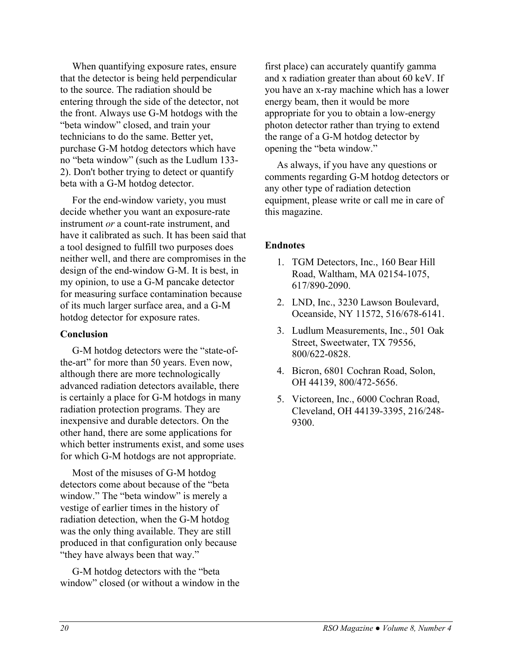When quantifying exposure rates, ensure that the detector is being held perpendicular to the source. The radiation should be entering through the side of the detector, not the front. Always use G-M hotdogs with the "beta window" closed, and train your technicians to do the same. Better yet, purchase G-M hotdog detectors which have no "beta window" (such as the Ludlum 133- 2). Don't bother trying to detect or quantify beta with a G-M hotdog detector.

For the end-window variety, you must decide whether you want an exposure-rate instrument *or* a count-rate instrument, and have it calibrated as such. It has been said that a tool designed to fulfill two purposes does neither well, and there are compromises in the design of the end-window G-M. It is best, in my opinion, to use a G-M pancake detector for measuring surface contamination because of its much larger surface area, and a G-M hotdog detector for exposure rates.

#### **Conclusion**

G-M hotdog detectors were the "state-ofthe-art" for more than 50 years. Even now, although there are more technologically advanced radiation detectors available, there is certainly a place for G-M hotdogs in many radiation protection programs. They are inexpensive and durable detectors. On the other hand, there are some applications for which better instruments exist, and some uses for which G-M hotdogs are not appropriate.

Most of the misuses of G-M hotdog detectors come about because of the "beta window." The "beta window" is merely a vestige of earlier times in the history of radiation detection, when the G-M hotdog was the only thing available. They are still produced in that configuration only because "they have always been that way."

G-M hotdog detectors with the "beta window" closed (or without a window in the

first place) can accurately quantify gamma and x radiation greater than about 60 keV. If you have an x-ray machine which has a lower energy beam, then it would be more appropriate for you to obtain a low-energy photon detector rather than trying to extend the range of a G-M hotdog detector by opening the "beta window."

As always, if you have any questions or comments regarding G-M hotdog detectors or any other type of radiation detection equipment, please write or call me in care of this magazine.

#### **Endnotes**

- 1. TGM Detectors, Inc., 160 Bear Hill Road, Waltham, MA 02154-1075, 617/890-2090.
- 2. LND, Inc., 3230 Lawson Boulevard, Oceanside, NY 11572, 516/678-6141.
- 3. Ludlum Measurements, Inc., 501 Oak Street, Sweetwater, TX 79556, 800/622-0828.
- 4. Bicron, 6801 Cochran Road, Solon, OH 44139, 800/472-5656.
- 5. Victoreen, Inc., 6000 Cochran Road, Cleveland, OH 44139-3395, 216/248- 9300.